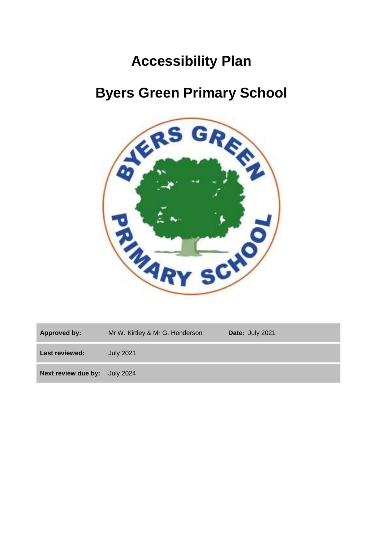# **Accessibility Plan**

# **Byers Green Primary School**



| <b>Approved by:</b>   | Mr W. Kirtley & Mr G. Henderson | Date: July 2021 |
|-----------------------|---------------------------------|-----------------|
| <b>Last reviewed:</b> | <b>July 2021</b>                |                 |
| Next review due by:   | July 2024                       |                 |
|                       |                                 |                 |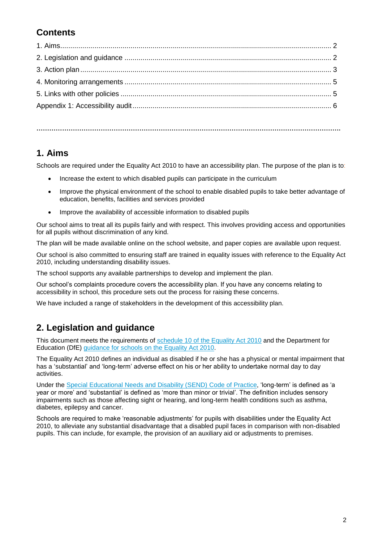## **Contents**

**…………………………………………………………………………………………………………………………….**

### **1. Aims**

Schools are required under the Equality Act 2010 to have an accessibility plan. The purpose of the plan is to:

- Increase the extent to which disabled pupils can participate in the curriculum
- Improve the physical environment of the school to enable disabled pupils to take better advantage of education, benefits, facilities and services provided
- Improve the availability of accessible information to disabled pupils

Our school aims to treat all its pupils fairly and with respect. This involves providing access and opportunities for all pupils without discrimination of any kind.

The plan will be made available online on the school website, and paper copies are available upon request.

Our school is also committed to ensuring staff are trained in equality issues with reference to the Equality Act 2010, including understanding disability issues.

The school supports any available partnerships to develop and implement the plan.

Our school's complaints procedure covers the accessibility plan. If you have any concerns relating to accessibility in school, this procedure sets out the process for raising these concerns.

We have included a range of stakeholders in the development of this accessibility plan.

### **2. Legislation and guidance**

This document meets the requirements of [schedule 10 of the Equality Act 2010](http://www.legislation.gov.uk/ukpga/2010/15/schedule/10) and the Department for Education (DfE) [guidance for schools on the Equality Act 2010.](https://www.gov.uk/government/publications/equality-act-2010-advice-for-schools)

The Equality Act 2010 defines an individual as disabled if he or she has a physical or mental impairment that has a 'substantial' and 'long-term' adverse effect on his or her ability to undertake normal day to day activities.

Under the [Special Educational Needs and Disability \(SEND\) Code of](https://www.gov.uk/government/publications/send-code-of-practice-0-to-25) Practice, 'long-term' is defined as 'a year or more' and 'substantial' is defined as 'more than minor or trivial'. The definition includes sensory impairments such as those affecting sight or hearing, and long-term health conditions such as asthma, diabetes, epilepsy and cancer.

Schools are required to make 'reasonable adjustments' for pupils with disabilities under the Equality Act 2010, to alleviate any substantial disadvantage that a disabled pupil faces in comparison with non-disabled pupils. This can include, for example, the provision of an auxiliary aid or adjustments to premises.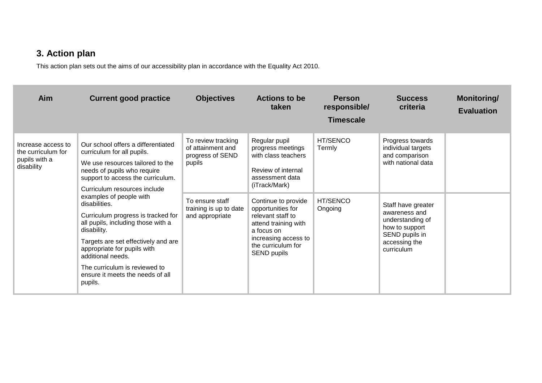## **3. Action plan**

This action plan sets out the aims of our accessibility plan in accordance with the Equality Act 2010.

| Aim                                                                     | <b>Current good practice</b>                                                                                                                                                                                                                                                                                   | <b>Objectives</b>                                                     | <b>Actions to be</b><br>taken                                                                                                                                    | <b>Person</b><br>responsible/<br><b>Timescale</b> | <b>Success</b><br>criteria                                                                                                 | Monitoring/<br><b>Evaluation</b> |
|-------------------------------------------------------------------------|----------------------------------------------------------------------------------------------------------------------------------------------------------------------------------------------------------------------------------------------------------------------------------------------------------------|-----------------------------------------------------------------------|------------------------------------------------------------------------------------------------------------------------------------------------------------------|---------------------------------------------------|----------------------------------------------------------------------------------------------------------------------------|----------------------------------|
| Increase access to<br>the curriculum for<br>pupils with a<br>disability | Our school offers a differentiated<br>curriculum for all pupils.<br>We use resources tailored to the<br>needs of pupils who require<br>support to access the curriculum.<br>Curriculum resources include                                                                                                       | To review tracking<br>of attainment and<br>progress of SEND<br>pupils | Regular pupil<br>progress meetings<br>with class teachers<br>Review of internal<br>assessment data<br>(iTrack/Mark)                                              | <b>HT/SENCO</b><br>Termly                         | Progress towards<br>individual targets<br>and comparison<br>with national data                                             |                                  |
|                                                                         | examples of people with<br>disabilities.<br>Curriculum progress is tracked for<br>all pupils, including those with a<br>disability.<br>Targets are set effectively and are<br>appropriate for pupils with<br>additional needs.<br>The curriculum is reviewed to<br>ensure it meets the needs of all<br>pupils. | To ensure staff<br>training is up to date<br>and appropriate          | Continue to provide<br>opportunities for<br>relevant staff to<br>attend training with<br>a focus on<br>increasing access to<br>the curriculum for<br>SEND pupils | HT/SENCO<br>Ongoing                               | Staff have greater<br>awareness and<br>understanding of<br>how to support<br>SEND pupils in<br>accessing the<br>curriculum |                                  |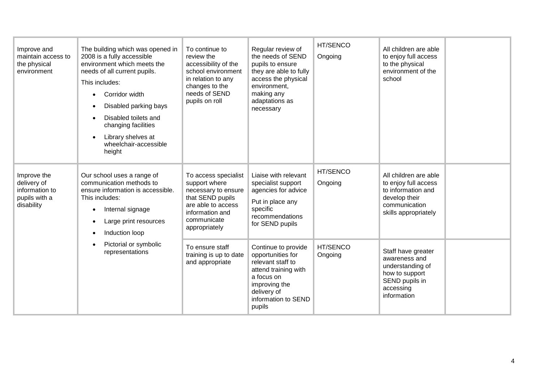| Improve and<br>maintain access to<br>the physical<br>environment            | The building which was opened in<br>2008 is a fully accessible<br>environment which meets the<br>needs of all current pupils.<br>This includes:<br>Corridor width<br>Disabled parking bays<br>Disabled toilets and<br>changing facilities<br>Library shelves at<br>wheelchair-accessible<br>height | To continue to<br>review the<br>accessibility of the<br>school environment<br>in relation to any<br>changes to the<br>needs of SEND<br>pupils on roll     | Regular review of<br>the needs of SEND<br>pupils to ensure<br>they are able to fully<br>access the physical<br>environment.<br>making any<br>adaptations as<br>necessary | HT/SENCO<br>Ongoing | All children are able<br>to enjoy full access<br>to the physical<br>environment of the<br>school                              |
|-----------------------------------------------------------------------------|----------------------------------------------------------------------------------------------------------------------------------------------------------------------------------------------------------------------------------------------------------------------------------------------------|-----------------------------------------------------------------------------------------------------------------------------------------------------------|--------------------------------------------------------------------------------------------------------------------------------------------------------------------------|---------------------|-------------------------------------------------------------------------------------------------------------------------------|
| Improve the<br>delivery of<br>information to<br>pupils with a<br>disability | Our school uses a range of<br>communication methods to<br>ensure information is accessible.<br>This includes:<br>Internal signage<br>$\bullet$<br>Large print resources<br>Induction loop                                                                                                          | To access specialist<br>support where<br>necessary to ensure<br>that SEND pupils<br>are able to access<br>information and<br>communicate<br>appropriately | Liaise with relevant<br>specialist support<br>agencies for advice<br>Put in place any<br>specific<br>recommendations<br>for SEND pupils                                  | HT/SENCO<br>Ongoing | All children are able<br>to enjoy full access<br>to information and<br>develop their<br>communication<br>skills appropriately |
|                                                                             | Pictorial or symbolic<br>representations                                                                                                                                                                                                                                                           | To ensure staff<br>training is up to date<br>and appropriate                                                                                              | Continue to provide<br>opportunities for<br>relevant staff to<br>attend training with<br>a focus on<br>improving the<br>delivery of<br>information to SEND<br>pupils     | HT/SENCO<br>Ongoing | Staff have greater<br>awareness and<br>understanding of<br>how to support<br>SEND pupils in<br>accessing<br>information       |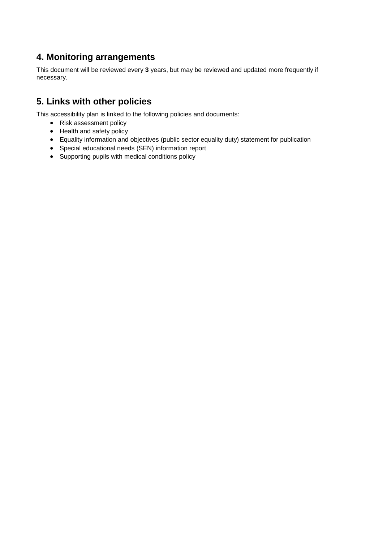#### **4. Monitoring arrangements**

This document will be reviewed every **3** years, but may be reviewed and updated more frequently if necessary.

#### **5. Links with other policies**

This accessibility plan is linked to the following policies and documents:

- Risk assessment policy
- Health and safety policy
- Equality information and objectives (public sector equality duty) statement for publication
- Special educational needs (SEN) information report
- Supporting pupils with medical conditions policy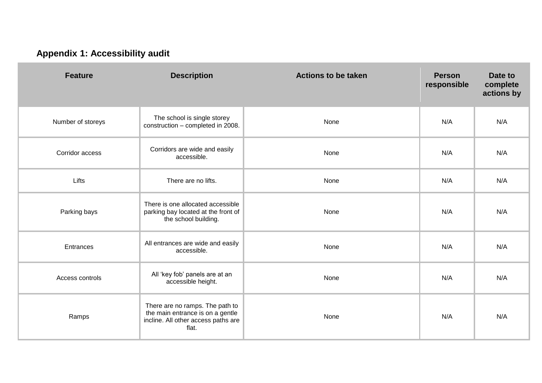# **Appendix 1: Accessibility audit**

| <b>Feature</b>    | <b>Description</b>                                                                                                  | <b>Actions to be taken</b> | <b>Person</b><br>responsible | Date to<br>complete<br>actions by |
|-------------------|---------------------------------------------------------------------------------------------------------------------|----------------------------|------------------------------|-----------------------------------|
| Number of storeys | The school is single storey<br>construction - completed in 2008.                                                    | None                       | N/A                          | N/A                               |
| Corridor access   | Corridors are wide and easily<br>accessible.                                                                        | None                       | N/A                          | N/A                               |
| Lifts             | There are no lifts.                                                                                                 | None                       | N/A                          | N/A                               |
| Parking bays      | There is one allocated accessible<br>parking bay located at the front of<br>the school building.                    | None                       | N/A                          | N/A                               |
| Entrances         | All entrances are wide and easily<br>accessible.                                                                    | None                       | N/A                          | N/A                               |
| Access controls   | All 'key fob' panels are at an<br>accessible height.                                                                | None                       | N/A                          | N/A                               |
| Ramps             | There are no ramps. The path to<br>the main entrance is on a gentle<br>incline. All other access paths are<br>flat. | None                       | N/A                          | N/A                               |